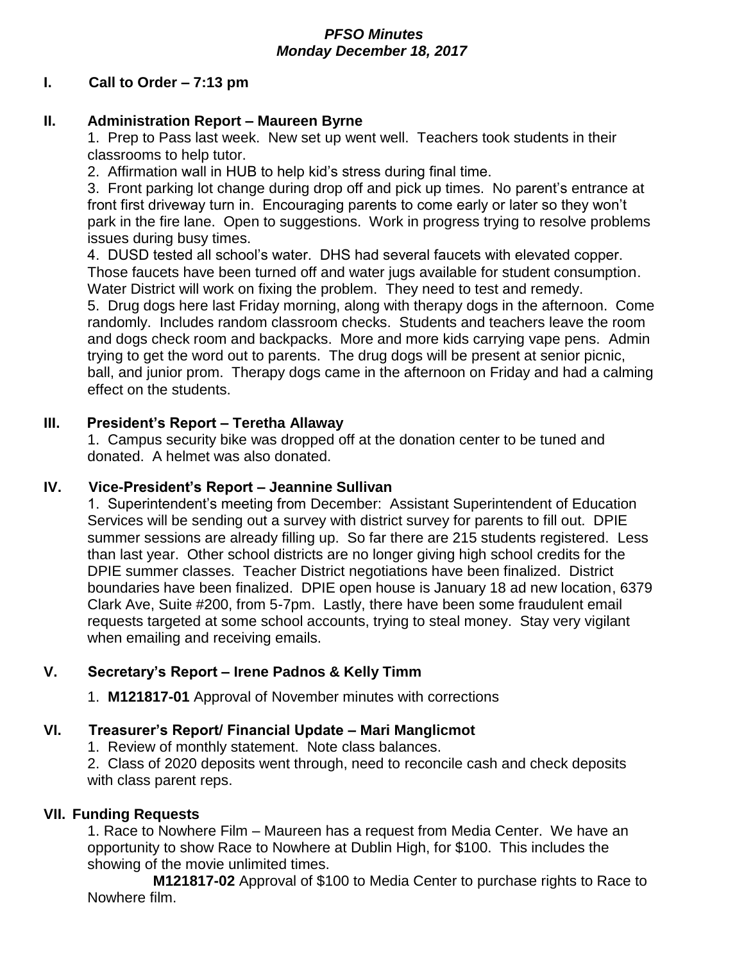#### *PFSO Minutes Monday December 18, 2017*

#### **I. Call to Order – 7:13 pm**

#### **II. Administration Report – Maureen Byrne**

1. Prep to Pass last week. New set up went well. Teachers took students in their classrooms to help tutor.

2. Affirmation wall in HUB to help kid's stress during final time.

3. Front parking lot change during drop off and pick up times. No parent's entrance at front first driveway turn in. Encouraging parents to come early or later so they won't park in the fire lane. Open to suggestions. Work in progress trying to resolve problems issues during busy times.

4. DUSD tested all school's water. DHS had several faucets with elevated copper. Those faucets have been turned off and water jugs available for student consumption. Water District will work on fixing the problem. They need to test and remedy.

5. Drug dogs here last Friday morning, along with therapy dogs in the afternoon. Come randomly. Includes random classroom checks. Students and teachers leave the room and dogs check room and backpacks. More and more kids carrying vape pens. Admin trying to get the word out to parents. The drug dogs will be present at senior picnic, ball, and junior prom. Therapy dogs came in the afternoon on Friday and had a calming effect on the students.

#### **III. President's Report – Teretha Allaway**

1. Campus security bike was dropped off at the donation center to be tuned and donated. A helmet was also donated.

#### **IV. Vice-President's Report – Jeannine Sullivan**

1. Superintendent's meeting from December: Assistant Superintendent of Education Services will be sending out a survey with district survey for parents to fill out. DPIE summer sessions are already filling up. So far there are 215 students registered. Less than last year. Other school districts are no longer giving high school credits for the DPIE summer classes. Teacher District negotiations have been finalized. District boundaries have been finalized. DPIE open house is January 18 ad new location, 6379 Clark Ave, Suite #200, from 5-7pm. Lastly, there have been some fraudulent email requests targeted at some school accounts, trying to steal money. Stay very vigilant when emailing and receiving emails.

# **V. Secretary's Report – Irene Padnos & Kelly Timm**

1. **M121817-01** Approval of November minutes with corrections

# **VI. Treasurer's Report/ Financial Update – Mari Manglicmot**

1. Review of monthly statement. Note class balances.

2. Class of 2020 deposits went through, need to reconcile cash and check deposits with class parent reps.

# **VII. Funding Requests**

1. Race to Nowhere Film – Maureen has a request from Media Center. We have an opportunity to show Race to Nowhere at Dublin High, for \$100. This includes the showing of the movie unlimited times.

**M121817-02** Approval of \$100 to Media Center to purchase rights to Race to Nowhere film.